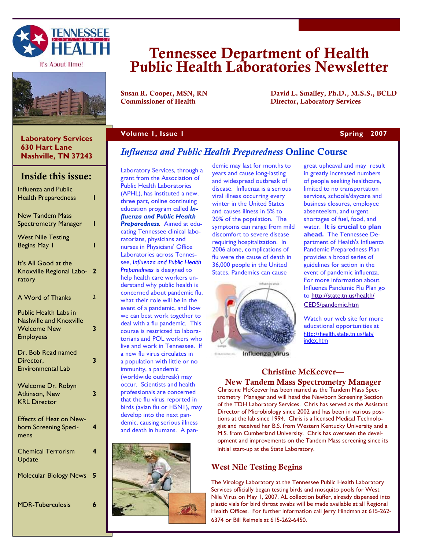

It's About Time!



### **Laboratory Services 630 Hart Lane Nashville, TN 37243**

# Inside this issue:

| <b>Influenza and Public</b><br><b>Health Preparedness</b>                                                | Π                       |
|----------------------------------------------------------------------------------------------------------|-------------------------|
| <b>New Tandem Mass</b><br><b>Spectrometry Manager</b>                                                    | ı                       |
| <b>West Nile Testing</b><br>Begins May 1                                                                 | ı                       |
| It's All Good at the<br>Knoxville Regional Labo-<br>ratory                                               | $\overline{\mathbf{2}}$ |
| A Word of Thanks                                                                                         | 2                       |
| <b>Public Health Labs in</b><br><b>Nashville and Knoxville</b><br><b>Welcome New</b><br><b>Employees</b> | 3                       |
| Dr. Bob Read named<br>Director,<br><b>Environmental Lab</b>                                              | 3                       |
| Welcome Dr. Robyn<br>Atkinson, New<br><b>KRL Director</b>                                                | 3                       |
| <b>Effects of Heat on New-</b><br>born Screening Speci-<br>mens                                          | 4                       |
| <b>Chemical Terrorism</b><br>Update                                                                      | 4                       |
| <b>Molecular Biology News</b>                                                                            | 5                       |
| <b>MDR-Tuberculosis</b>                                                                                  | 6                       |

# Tennessee Department of Health Public Health Laboratories Newsletter

Susan R. Cooper, MSN, RN David L. Smalley, Ph.D., M.S.S., BCLD Commissioner of Health Director, Laboratory Services

### **Volume 1, Issue 1 Spring 2007 Spring 2007**

# *Influenza and Public Health Preparedness* Online Course

Laboratory Services, through a grant from the Association of Public Health Laboratories (APHL), has instituted a new, three part, online continuing education program called *Influenza and Public Health Preparedness*. Aimed at educating Tennessee clinical laboratorians, physicians and nurses in Physicians' Office Laboratories across Tennessee, *Influenza and Public Health Preparedness* is designed to help health care workers understand why public health is concerned about pandemic flu, what their role will be in the event of a pandemic, and how we can best work together to deal with a flu pandemic. This course is restricted to laboratorians and POL workers who live and work in Tennessee. If a new flu virus circulates in a population with little or no immunity, a pandemic (worldwide outbreak) may occur. Scientists and health professionals are concerned that the flu virus reported in birds (avian flu or H5N1), may develop into the next pandemic, causing serious illness and death in humans. A pan-



demic may last for months to years and cause long-lasting and widespread outbreak of disease. Influenza is a serious viral illness occurring every winter in the United States and causes illness in 5% to 20% of the population. The symptoms can range from mild discomfort to severe disease requiring hospitalization. In 2006 alone, complications of flu were the cause of death in 36,000 people in the United States. Pandemics can cause



**Influenza Virus** 

great upheaval and may result in greatly increased numbers of people seeking healthcare, limited to no transportation services, schools/daycare and business closures, employee absenteeism, and urgent shortages of fuel, food, and water. **It is crucial to plan ahead.** The Tennessee Department of Health's Influenza Pandemic Preparedness Plan provides a broad series of guidelines for action in the event of pandemic influenza. For more information about Influenza Pandemic Flu Plan go to http://state.tn.us/health/

CEDS/pandemic.htm

Watch our web site for more educational opportunities at http://health.state.tn.us/lab/ index.htm

### Christine McKeever— New Tandem Mass Spectrometry Manager

Christine McKeever has been named as the Tandem Mass Spectrometry Manager and will head the Newborn Screening Section of the TDH Laboratory Services. Chris has served as the Assistant Director of Microbiology since 2002 and has been in various positions at the lab since 1994. Chris is a licensed Medical Technologist and received her B.S. from Western Kentucky University and a M.S. from Cumberland University. Chris has overseen the development and improvements on the Tandem Mass screening since its initial start-up at the State Laboratory.

# West Nile Testing Begins

The Virology Laboratory at the Tennessee Public Health Laboratory Services officially began testing birds and mosquito pools for West Nile Virus on May 1, 2007. AL collection buffer, already dispensed into plastic vials for bird throat swabs will be made available at all Regional Health Offices. For further information call Jerry Hindman at 615-262- 6374 or Bill Reimels at 615-262-6450.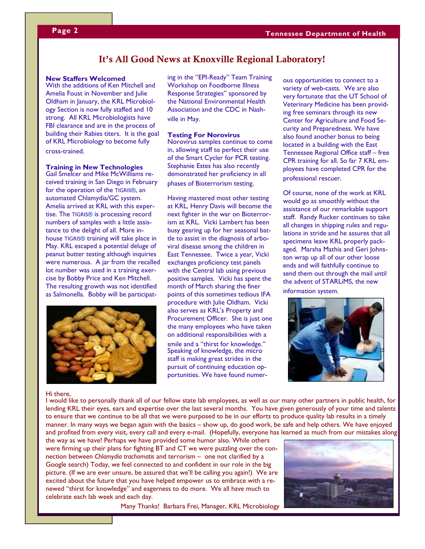### It's All Good News at Knoxville Regional Laboratory!

### **New Staffers Welcomed**

With the additions of Ken Mitchell and Amelia Foust in November and Julie Oldham in January, the KRL Microbiology Section is now fully staffed and 10 strong. All KRL Microbiologists have FBI clearance and are in the process of building their Rabies titers. It is the goal of KRL Microbiology to become fully cross-trained.

### **Training in New Technologies**

Gail Smelcer and Mike McWilliams received training in San Diego in February for the operation of the TIGRIS®, an automated Chlamydia/GC system. Amelia arrived at KRL with this expertise. The TIGRIS® is processing record numbers of samples with a little assistance to the delight of all. More inhouse TIGRIS® training will take place in May. KRL escaped a potential deluge of peanut butter testing although inquiries were numerous. A jar from the recalled lot number was used in a training exercise by Bobby Price and Ken Mitchell. The resulting growth was not identified as Salmonella. Bobby will be participat-



ing in the "EPI-Ready" Team Training Workshop on Foodborne Illness Response Strategies" sponsored by the National Environmental Health Association and the CDC in Nashville in May.

### **Testing For Norovirus**

Norovirus samples continue to come in, allowing staff to perfect their use of the Smart Cycler for PCR testing. Stephanie Estes has also recently demonstrated her proficiency in all phases of Bioterrorism testing.

Having mastered most other testing at KRL, Henry Davis will become the next fighter in the war on Bioterrorism at KRL. Vicki Lambert has been busy gearing up for her seasonal battle to assist in the diagnosis of arboviral disease among the children in East Tennessee. Twice a year, Vicki exchanges proficiency test panels with the Central lab using previous positive samples. Vicki has spent the month of March sharing the finer points of this sometimes tedious IFA procedure with Julie Oldham. Vicki also serves as KRL's Property and Procurement Officer. She is just one the many employees who have taken on additional responsibilities with a

smile and a "thirst for knowledge." Speaking of knowledge, the micro staff is making great strides in the pursuit of continuing education opportunities. We have found numerous opportunities to connect to a variety of web-casts. We are also very fortunate that the UT School of Veterinary Medicine has been providing free seminars through its new Center for Agriculture and Food Security and Preparedness. We have also found another bonus to being located in a building with the East Tennessee Regional Office staff – free CPR training for all. So far 7 KRL employees have completed CPR for the professional rescuer.

Of course, none of the work at KRL would go as smoothly without the assistance of our remarkable support staff. Randy Rucker continues to take all changes in shipping rules and regulations in stride and he assures that all specimens leave KRL properly packaged. Marsha Mathis and Geri Johnston wrap up all of our other loose ends and will faithfully continue to send them out through the mail until the advent of STARLiMS, the new information system.



### Hi there,

I would like to personally thank all of our fellow state lab employees, as well as our many other partners in public health, for lending KRL their eyes, ears and expertise over the last several months. You have given generously of your time and talents to ensure that we continue to be all that we were purposed to be in our efforts to produce quality lab results in a timely manner. In many ways we began again with the basics – show up, do good work, be safe and help others. We have enjoyed and profited from every visit, every call and every e-mail. (Hopefully, everyone has learned as much from our mistakes along

the way as we have! Perhaps we have provided some humor also. While others were firming up their plans for fighting BT and CT we were puzzling over the connection between *Chlamydia trachomatis* and terrorism – one not clarified by a Google search) Today, we feel connected to and confident in our role in the big picture. (If we are ever unsure, be assured that we'll be calling you again!) We are excited about the future that you have helped empower us to embrace with a renewed "thirst for knowledge" and eagerness to do more. We all have much to celebrate each lab week and each day.

Many Thanks! Barbara Frei, Manager, KRL Microbiology

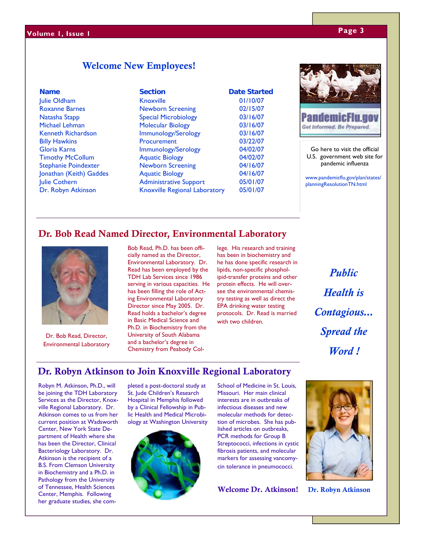# **Page 3 Volume 1, Issue 1**

# Welcome New Employees!

Dr. Robyn Atkinson Knoxville Regional Laboratory 05/01/07

**Name Section Date Started** Julie Oldham Knoxville 01/10/07 Roxanne Barnes Newborn Screening 02/15/07 Natasha Stapp Special Microbiology 03/16/07 Michael Lehman Molecular Biology 03/16/07 Kenneth Richardson **Immunology/Serology** 03/16/07 Billy Hawkins **Procurement** 03/22/07 Gloria Karns **Immunology/Serology** 04/02/07 Timothy McCollum Aquatic Biology 04/02/07 Stephanie Poindexter Newborn Screening 04/16/07 Jonathan (Keith) Gaddes Aquatic Biology 04/16/07 Julie Cothern **Administrative Support** 05/01/07



Get Informed. Be Prepared.

Go here to visit the official U.S. government web site for pandemic influenza

www.pandemicflu.gov/plan/states/ planningResolutionTN.html

# Dr. Bob Read Named Director, Environmental Laboratory



Dr. Bob Read, Director, Environmental Laboratory

Bob Read, Ph.D. has been officially named as the Director, Environmental Laboratory. Dr. Read has been employed by the TDH Lab Services since 1986 serving in various capacities. He has been filling the role of Acting Environmental Laboratory Director since May 2005. Dr. Read holds a bachelor's degree in Basic Medical Science and Ph.D. in Biochemistry from the University of South Alabama and a bachelor's degree in Chemistry from Peabody College. His research and training has been in biochemistry and he has done specific research in lipids, non-specific phospholipid-transfer proteins and other protein effects. He will oversee the environmental chemistry testing as well as direct the EPA drinking water testing protocols. Dr. Read is married with two children.

*Public Health is Contagious... Spread the Word !* 

# Dr. Robyn Atkinson to Join Knoxville Regional Laboratory

Robyn M. Atkinson, Ph.D., will be joining the TDH Laboratory Services as the Director, Knoxville Regional Laboratory. Dr. Atkinson comes to us from her current position at Wadsworth Center, New York State Department of Health where she has been the Director, Clinical Bacteriology Laboratory. Dr. Atkinson is the recipient of a B.S. From Clemson University in Biochemistry and a Ph.D. in Pathology from the University of Tennessee, Health Sciences Center, Memphis. Following her graduate studies, she completed a post-doctoral study at St. Jude Children's Research Hospital in Memphis followed by a Clinical Fellowship in Public Health and Medical Microbiology at Washington University



School of Medicine in St. Louis, Missouri. Her main clinical interests are in outbreaks of infectious diseases and new molecular methods for detection of microbes. She has published articles on outbreaks, PCR methods for Group B Streptococci, infections in cystic fibrosis patients, and molecular markers for assessing vancomycin tolerance in pneumococci.

Welcome Dr. Atkinson!



Dr. Robyn Atkinson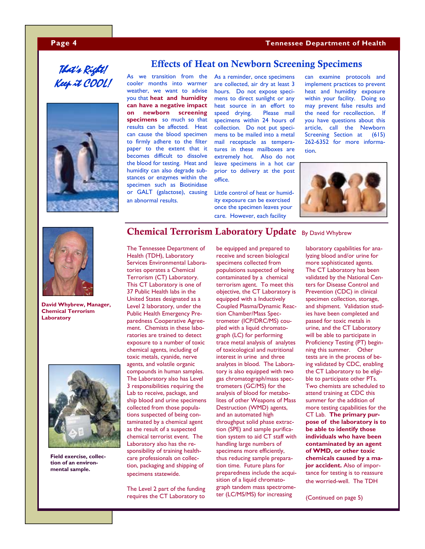### **Page 4 Tennessee Department of Health**

# That's Right! Keep it COOL!



As we transition from the cooler months into warmer weather, we want to advise you that **heat and humidity can have a negative impact on newborn screening specimens** so much so that results can be affected. Heat can cause the blood specimen to firmly adhere to the filter paper to the extent that it becomes difficult to dissolve the blood for testing. Heat and humidity can also degrade substances or enzymes within the specimen such as Biotinidase or GALT (galactose), causing an abnormal results.

As a reminder, once specimens are collected, air dry at least 3 hours. Do not expose specimens to direct sunlight or any heat source in an effort to speed drying. Please mail specimens within 24 hours of collection. Do not put specimens to be mailed into a metal mail receptacle as temperatures in these mailboxes are extremely hot. Also do not leave specimens in a hot car prior to delivery at the post office.

Effects of Heat on Newborn Screening Specimens

Little control of heat or humidity exposure can be exercised once the specimen leaves your care. However, each facility

can examine protocols and implement practices to prevent heat and humidity exposure within your facility. Doing so may prevent false results and the need for recollection. If you have questions about this article, call the Newborn Screening Section at (615) 262-6352 for more information.





**David Whybrew, Manager, Chemical Terrorism Laboratory** 



**Field exercise, collection of an environmental sample.** 

# Chemical Terrorism Laboratory Update By David Whybrew

The Tennessee Department of Health (TDH), Laboratory Services Environmental Laboratories operates a Chemical Terrorism (CT) Laboratory. This CT Laboratory is one of 37 Public Health labs in the United States designated as a Level 2 laboratory, under the Public Health Emergency Preparedness Cooperative Agreement. Chemists in these laboratories are trained to detect exposure to a number of toxic chemical agents, including of toxic metals, cyanide, nerve agents, and volatile organic compounds in human samples. The Laboratory also has Level 3 responsibilities requiring the Lab to receive, package, and ship blood and urine specimens collected from those populations suspected of being contaminated by a chemical agent as the result of a suspected chemical terrorist event. The Laboratory also has the responsibility of training healthcare professionals on collection, packaging and shipping of specimens statewide.

The Level 2 part of the funding requires the CT Laboratory to

be equipped and prepared to receive and screen biological specimens collected from populations suspected of being contaminated by a chemical terrorism agent. To meet this objective, the CT Laboratory is equipped with a Inductively Coupled Plasma/Dynamic Reaction Chamber/Mass Spectrometer (ICP/DRC/MS) coupled with a liquid chromatograph (LC) for performing trace metal analysis of analytes of toxicological and nutritional interest in urine and three analytes in blood. The Laboratory is also equipped with two gas chromatograph/mass spectrometers (GC/MS) for the analysis of blood for metabolites of other Weapons of Mass Destruction (WMD) agents, and an automated high throughput solid phase extraction (SPE) and sample purification system to aid CT staff with handling large numbers of specimens more efficiently, thus reducing sample preparation time. Future plans for preparedness include the acquisition of a liquid chromatograph tandem mass spectrometer (LC/MS/MS) for increasing

laboratory capabilities for analyzing blood and/or urine for more sophisticated agents. The CT Laboratory has been validated by the National Centers for Disease Control and Prevention (CDC) in clinical specimen collection, storage, and shipment. Validation studies have been completed and passed for toxic metals in urine, and the CT Laboratory will be able to participate in Proficiency Testing (PT) beginning this summer. Other tests are in the process of being validated by CDC, enabling the CT Laboratory to be eligible to participate other PTs. Two chemists are scheduled to attend training at CDC this summer for the addition of more testing capabilities for the CT Lab. **The primary purpose of the laboratory is to be able to identify those individuals who have been contaminated by an agent of WMD, or other toxic chemicals caused by a major accident.** Also of importance for testing is to reassure the worried-well. The TDH

(Continued on page 5)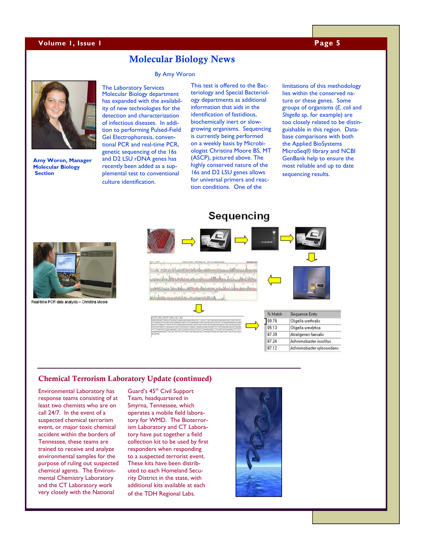### **Volume 1, Issue 1 Page 5 Page 5**

### Molecular Biology News

### By Amy Woron



**Amy Woron, Manager Molecular Biology Section** 

The Laboratory Services Molecular Biology department has expanded with the availability of new technologies for the detection and characterization of infectious diseases. In addition to performing Pulsed-Field Gel Electrophoresis, conventional PCR and real-time PCR, genetic sequencing of the 16s and D2 LSU rDNA genes has recently been added as a supplemental test to conventional culture identification.

This test is offered to the Bacteriology and Special Bacteriology departments as additional information that aids in the identification of fastidious, biochemically inert or slowgrowing organisms. Sequencing is currently being performed on a weekly basis by Microbiologist Christina Moore BS, MT (ASCP), pictured above. The highly conserved nature of the 16s and D2 LSU genes allows for universal primers and reaction conditions. One of the

limitations of this methodology lies within the conserved nature or these genes. Some groups of organisms (*E. coli* and *Shigella* sp. for example) are too closely related to be distinguishable in this region. Database comparisons with both the Applied BioSystems MicroSeq® library and NCBI GenBank help to ensure the most reliable and up to date sequencing results.



Real-time PCR data analysis - Christina Moore





### Chemical Terrorism Laboratory Update (continued)

Environmental Laboratory has response teams consisting of at least two chemists who are on call 24/7. In the event of a suspected chemical terrorism event, or major toxic chemical accident within the borders of Tennessee, these teams are trained to receive and analyze environmental samples for the purpose of ruling out suspected chemical agents. The Environmental Chemistry Laboratory and the CT Laboratory work very closely with the National

Guard's 45<sup>th</sup> Civil Support Team, headquartered in Smyrna, Tennessee, which operates a mobile field laboratory for WMD. The Bioterrorism Laboratory and CT Laboratory have put together a field collection kit to be used by first responders when responding to a suspected terrorist event. These kits have been distributed to each Homeland Security District in the state, with additional kits available at each of the TDH Regional Labs.